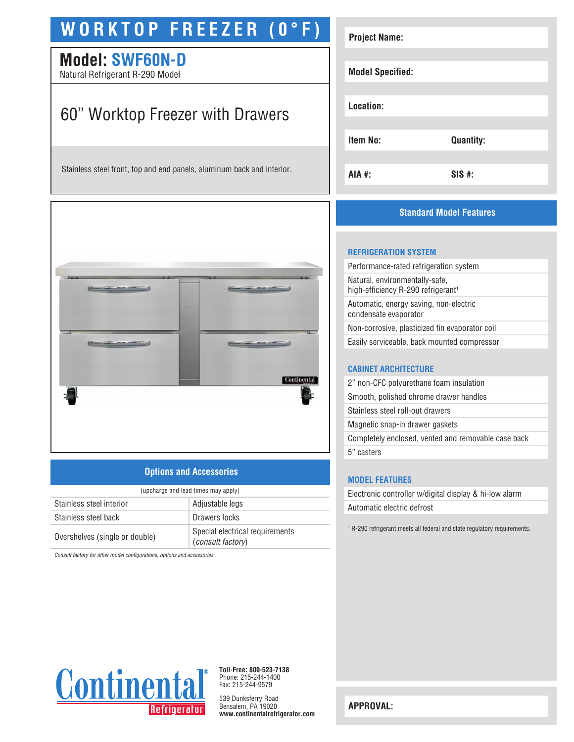## **WORKTOP FREEZER (0°F)**

### **Model: SWF60N-D**

Natural Refrigerant R-290 Model

## 60" Worktop Freezer with Drawers

Stainless steel front, top and end panels, aluminum back and interior.



#### **Options and Accessories**

| (upcharge and lead times may apply) |                                                      |  |
|-------------------------------------|------------------------------------------------------|--|
| Stainless steel interior            | Adjustable legs                                      |  |
| Stainless steel back                | Drawers locks                                        |  |
| Overshelves (single or double)      | Special electrical requirements<br>(consult factory) |  |

*Consult factory for other model configurations, options and accessories.*

| <b>Project Name:</b>    |                  |
|-------------------------|------------------|
| <b>Model Specified:</b> |                  |
| Location:               |                  |
| Item No:                | <b>Quantity:</b> |
| AIA #:                  | $SIS$ #:         |

#### **Standard Model Features**

#### **REFRIGERATION SYSTEM**

| Performance-rated refrigeration system                                           |
|----------------------------------------------------------------------------------|
| Natural, environmentally-safe,<br>high-efficiency R-290 refrigerant <sup>1</sup> |
| Automatic, energy saving, non-electric<br>condensate evaporator                  |
| Non-corrosive, plasticized fin evaporator coil                                   |
| Easily serviceable, back mounted compressor                                      |
|                                                                                  |

#### **CABINET ARCHITECTURE**

| 2" non-CFC polyurethane foam insulation             |
|-----------------------------------------------------|
| Smooth, polished chrome drawer handles              |
| Stainless steel roll-out drawers                    |
| Magnetic snap-in drawer gaskets                     |
| Completely enclosed, vented and removable case back |
| 5" casters                                          |
|                                                     |

#### **MODEL FEATURES**

Electronic controller w/digital display & hi-low alarm Automatic electric defrost

1 R-290 refrigerant meets all federal and state regulatory requirements.



**Toll-Free: 800-523-7138** Phone: 215-244-1400 Fax: 215-244-9579

539 Dunksferry Road Bensalem, PA 19020 **www.continentalrefrigerator.com** 

**APPROVAL:**